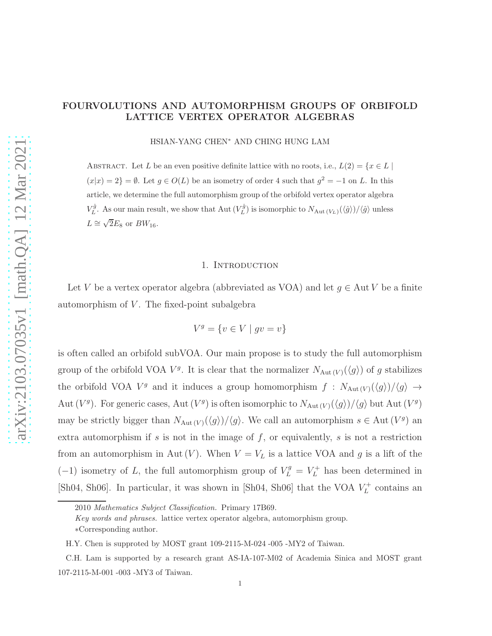# FOURVOLUTIONS AND AUTOMORPHISM GROUPS OF ORBIFOLD LATTICE VERTEX OPERATOR ALGEBRAS

HSIAN-YANG CHEN∗ AND CHING HUNG LAM

ABSTRACT. Let L be an even positive definite lattice with no roots, i.e.,  $L(2) = \{x \in L \mid$  $(x|x) = 2$  =  $\emptyset$ . Let  $g \in O(L)$  be an isometry of order 4 such that  $g^2 = -1$  on L. In this article, we determine the full automorphism group of the orbifold vertex operator algebra  $V_L^{\hat{g}}$ . As our main result, we show that Aut  $(V_L^{\hat{g}})$  is isomorphic to  $N_{\text{Aut}(V_L)}(\langle \hat{g} \rangle)/\langle \hat{g} \rangle$  unless  $L \cong \sqrt{2}E_8$  or  $BW_{16}$ .

### 1. Introduction

Let V be a vertex operator algebra (abbreviated as VOA) and let  $g \in \text{Aut } V$  be a finite automorphism of  $V$ . The fixed-point subalgebra

$$
V^g = \{v \in V \mid gv = v\}
$$

is often called an orbifold subVOA. Our main propose is to study the full automorphism group of the orbifold VOA  $V^g$ . It is clear that the normalizer  $N_{\text{Aut}(V)}(\langle g \rangle)$  of g stabilizes the orbifold VOA  $V^g$  and it induces a group homomorphism  $f : N_{\text{Aut}(V)}(\langle g \rangle) / \langle g \rangle \rightarrow$ Aut  $(V^g)$ . For generic cases, Aut  $(V^g)$  is often isomorphic to  $N_{\text{Aut}(V)}(\langle g \rangle) / \langle g \rangle$  but Aut  $(V^g)$ may be strictly bigger than  $N_{\text{Aut}(V)}(\langle g \rangle) / \langle g \rangle$ . We call an automorphism  $s \in \text{Aut}(V^g)$  an extra automorphism if  $s$  is not in the image of  $f$ , or equivalently,  $s$  is not a restriction from an automorphism in Aut  $(V)$ . When  $V = V_L$  is a lattice VOA and g is a lift of the  $(-1)$  isometry of L, the full automorphism group of  $V_L^g = V_L^+$  has been determined in [Sh04, Sh06]. In particular, it was shown in [Sh04, Sh06] that the VOA  $V_L^+$  $L^+$  contains an

<sup>2010</sup> Mathematics Subject Classification. Primary 17B69.

Key words and phrases. lattice vertex operator algebra, automorphism group. ∗Corresponding author.

H.Y. Chen is supproted by MOST grant 109-2115-M-024 -005 -MY2 of Taiwan.

C.H. Lam is supported by a research grant AS-IA-107-M02 of Academia Sinica and MOST grant 107-2115-M-001 -003 -MY3 of Taiwan.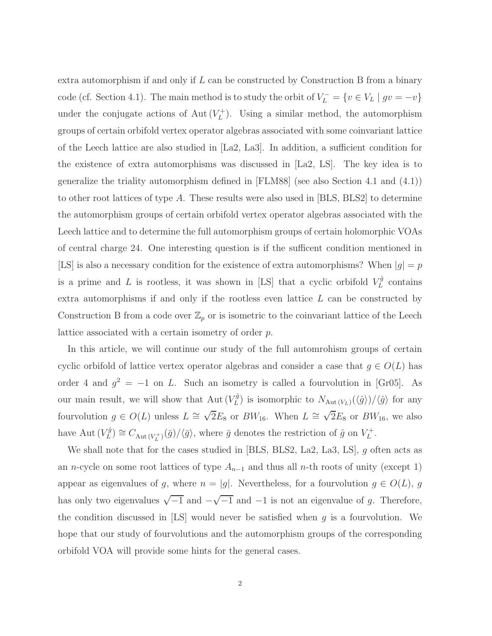extra automorphism if and only if  $L$  can be constructed by Construction B from a binary code (cf. Section 4.1). The main method is to study the orbit of  $V_L^- = \{v \in V_L \mid gv = -v\}$ under the conjugate actions of Aut $(V_L^+)$  $L_L^{(+)}$ ). Using a similar method, the automorphism groups of certain orbifold vertex operator algebras associated with some coinvariant lattice of the Leech lattice are also studied in [La2, La3]. In addition, a sufficient condition for the existence of extra automorphisms was discussed in [La2, LS]. The key idea is to generalize the triality automorphism defined in [FLM88] (see also Section 4.1 and (4.1)) to other root lattices of type A. These results were also used in [BLS, BLS2] to determine the automorphism groups of certain orbifold vertex operator algebras associated with the Leech lattice and to determine the full automorphism groups of certain holomorphic VOAs of central charge 24. One interesting question is if the sufficent condition mentioned in [LS] is also a necessary condition for the existence of extra automorphisms? When  $|g| = p$ is a prime and L is rootless, it was shown in [LS] that a cyclic orbifold  $V_L^{\hat{g}}$  $L^g$  contains extra automorphisms if and only if the rootless even lattice L can be constructed by Construction B from a code over  $\mathbb{Z}_p$  or is isometric to the coinvariant lattice of the Leech lattice associated with a certain isometry of order p.

In this article, we will continue our study of the full automrohism groups of certain cyclic orbifold of lattice vertex operator algebras and consider a case that  $g \in O(L)$  has order 4 and  $g^2 = -1$  on L. Such an isometry is called a fourvolution in [Gr05]. As our main result, we will show that  $\mathrm{Aut}(V_L^{\hat{g}})$  $L^{(q)}$ ) is isomorphic to  $N_{\text{Aut}(V_L)}(\langle \hat{g} \rangle) / \langle \hat{g} \rangle$  for any fourvolution  $g \in O(L)$  unless  $L \cong \sqrt{2}E_8$  or  $BW_{16}$ . When  $L \cong \sqrt{2}E_8$  or  $BW_{16}$ , we also have Aut  $(V_L^{\hat{g}})$  $L(\bar{G}) \cong C_{\text{Aut}(V_L^+)}(\bar{g})/\langle \bar{g} \rangle$ , where  $\bar{g}$  denotes the restriction of  $\hat{g}$  on  $V_L^+$  $\iota_L^+$ .

We shall note that for the cases studied in [BLS, BLS2, La2, La3, LS], g often acts as an n-cycle on some root lattices of type  $A_{n-1}$  and thus all n-th roots of unity (except 1) appear as eigenvalues of g, where  $n = |g|$ . Nevertheless, for a fourvolution  $g \in O(L)$ , g has only two eigenvalues  $\sqrt{-1}$  and  $-\sqrt{-1}$  and  $-1$  is not an eigenvalue of g. Therefore, the condition discussed in [LS] would never be satisfied when  $g$  is a fourvolution. We hope that our study of fourvolutions and the automorphism groups of the corresponding orbifold VOA will provide some hints for the general cases.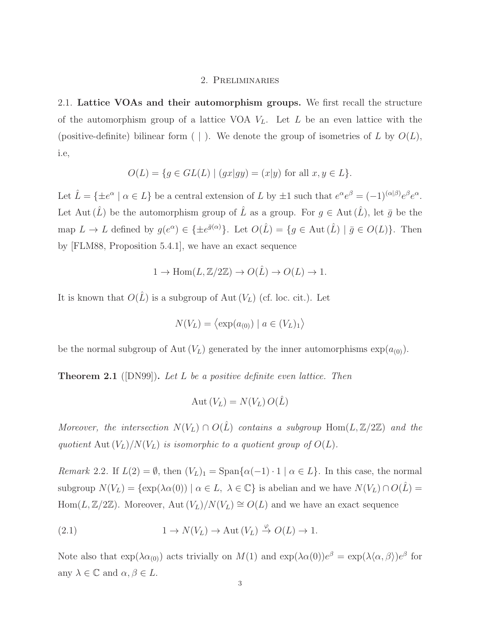## 2. Preliminaries

2.1. Lattice VOAs and their automorphism groups. We first recall the structure of the automorphism group of a lattice VOA  $V_L$ . Let L be an even lattice with the (positive-definite) bilinear form  $( \cdot )$ . We denote the group of isometries of L by  $O(L)$ , i.e,

$$
O(L) = \{ g \in GL(L) \mid (gx|gy) = (x|y) \text{ for all } x, y \in L \}.
$$

Let  $\hat{L} = \{\pm e^{\alpha} \mid \alpha \in L\}$  be a central extension of L by  $\pm 1$  such that  $e^{\alpha}e^{\beta} = (-1)^{(\alpha|\beta)}e^{\beta}e^{\alpha}$ . Let Aut  $(\hat{L})$  be the automorphism group of  $\hat{L}$  as a group. For  $g \in Aut(\hat{L})$ , let  $\bar{g}$  be the map  $L \to L$  defined by  $g(e^{\alpha}) \in {\pm}e^{\bar{g}(\alpha)}$ . Let  $O(\hat{L}) = {g \in Aut(\hat{L}) \mid \bar{g} \in O(L)}$ . Then by [FLM88, Proposition 5.4.1], we have an exact sequence

$$
1 \to \text{Hom}(L, \mathbb{Z}/2\mathbb{Z}) \to O(\hat{L}) \to O(L) \to 1.
$$

It is known that  $O(\hat{L})$  is a subgroup of Aut  $(V_L)$  (cf. loc. cit.). Let

$$
N(V_L) = \langle \exp(a_{(0)}) \mid a \in (V_L)_1 \rangle
$$

be the normal subgroup of Aut  $(V_L)$  generated by the inner automorphisms  $\exp(a_{(0)})$ .

Theorem 2.1 ([DN99]). *Let* L *be a positive definite even lattice. Then*

$$
Aut(V_L) = N(V_L) O(\hat{L})
$$

*Moreover, the intersection*  $N(V_L) \cap O(\hat{L})$  *contains a subgroup*  $\text{Hom}(L, \mathbb{Z}/2\mathbb{Z})$  *and the* quotient Aut  $(V_L)/N(V_L)$  *is isomorphic to a quotient group of*  $O(L)$ *.* 

*Remark* 2.2*.* If  $L(2) = \emptyset$ , then  $(V_L)_1 = \text{Span}\{\alpha(-1) \cdot 1 \mid \alpha \in L\}$ . In this case, the normal subgroup  $N(V_L) = \{ \exp(\lambda \alpha(0)) \mid \alpha \in L, \lambda \in \mathbb{C} \}$  is abelian and we have  $N(V_L) \cap O(\hat{L}) =$ Hom(L, Z/2Z). Moreover, Aut  $(V_L)/N(V_L) \cong O(L)$  and we have an exact sequence

(2.1) 
$$
1 \to N(V_L) \to \text{Aut}(V_L) \stackrel{\varphi}{\to} O(L) \to 1.
$$

Note also that  $\exp(\lambda \alpha_{(0)})$  acts trivially on  $M(1)$  and  $\exp(\lambda \alpha(0))e^{\beta} = \exp(\lambda \langle \alpha, \beta \rangle)e^{\beta}$  for any  $\lambda \in \mathbb{C}$  and  $\alpha, \beta \in L$ .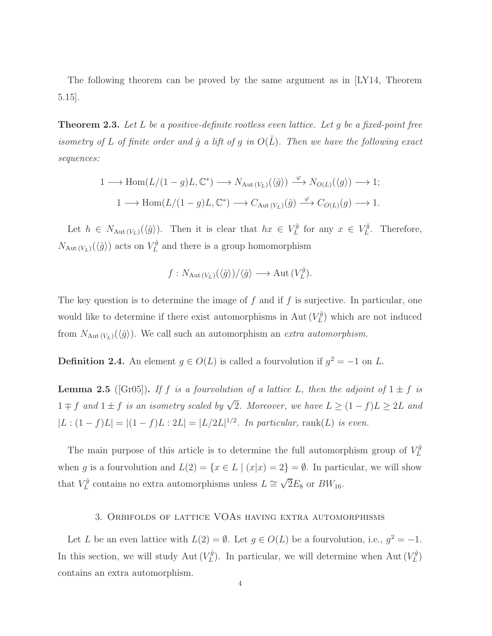The following theorem can be proved by the same argument as in [LY14, Theorem 5.15].

Theorem 2.3. *Let* L *be a positive-definite rootless even lattice. Let* g *be a fixed-point free isometry of* L *of finite order and*  $\hat{g}$  *a lift of*  $g$  *in*  $O(\hat{L})$ *. Then we have the following exact sequences:*

$$
1 \longrightarrow \text{Hom}(L/(1-g)L, \mathbb{C}^*) \longrightarrow N_{\text{Aut}(V_L)}(\langle \hat{g} \rangle) \stackrel{\varphi}{\longrightarrow} N_{O(L)}(\langle g \rangle) \longrightarrow 1;
$$
  

$$
1 \longrightarrow \text{Hom}(L/(1-g)L, \mathbb{C}^*) \longrightarrow C_{\text{Aut}(V_L)}(\hat{g}) \stackrel{\varphi}{\longrightarrow} C_{O(L)}(g) \longrightarrow 1.
$$

Let  $h \in N_{\text{Aut}(V_L)}(\langle \hat{g} \rangle)$ . Then it is clear that  $hx \in V_L^{\hat{g}}$  $L^{\hat{g}}$  for any  $x \in V_L^{\hat{g}}$  $L^g$ . Therefore,  $N_{\text{Aut}(V_L)}(\langle \hat{g} \rangle)$  acts on  $V_L^{\hat{g}}$  $L<sup>q</sup>$  and there is a group homomorphism

$$
f: N_{\text{Aut}(V_L)}(\langle \hat{g} \rangle) / \langle \hat{g} \rangle \longrightarrow \text{Aut}(V_L^{\hat{g}}).
$$

The key question is to determine the image of  $f$  and if  $f$  is surjective. In particular, one would like to determine if there exist automorphisms in Aut  $(V_L^{\hat{g}})$  $L^{(g)}$  which are not induced from  $N_{\text{Aut}(V_L)}(\langle \hat{g} \rangle)$ . We call such an automorphism an *extra automorphism*.

**Definition 2.4.** An element  $g \in O(L)$  is called a fourvolution if  $g^2 = -1$  on L.

**Lemma 2.5** ([Gr05]). If f is a fourvolution of a lattice L, then the adjoint of  $1 \pm f$  is 1  $\mp$  f and 1  $\pm$  f *is an isometry scaled by*  $\sqrt{2}$ *. Moreover, we have*  $L \geq (1-f)L \geq 2L$  *and*  $|L:(1-f)L| = |(1-f)L:2L| = |L/2L|^{1/2}$ . In particular, rank(L) is even.

The main purpose of this article is to determine the full automorphism group of  $V_L^{\hat{g}}$ L when g is a fourvolution and  $L(2) = \{x \in L \mid (x|x) = 2\} = \emptyset$ . In particular, we will show that  $V_L^{\hat{g}}$  $\chi_L^{\hat{g}}$  contains no extra automorphisms unless  $L \cong \sqrt{2}E_8$  or  $BW_{16}$ .

## 3. Orbifolds of lattice VOAs having extra automorphisms

Let L be an even lattice with  $L(2) = \emptyset$ . Let  $g \in O(L)$  be a fourvolution, i.e.,  $g^2 = -1$ . In this section, we will study Aut  $(V_L^{\hat{g}})$  $\mathcal{L}_L^{\hat{g}}$ ). In particular, we will determine when Aut  $(V_L^{\hat{g}})$  $L^{g}$ contains an extra automorphism.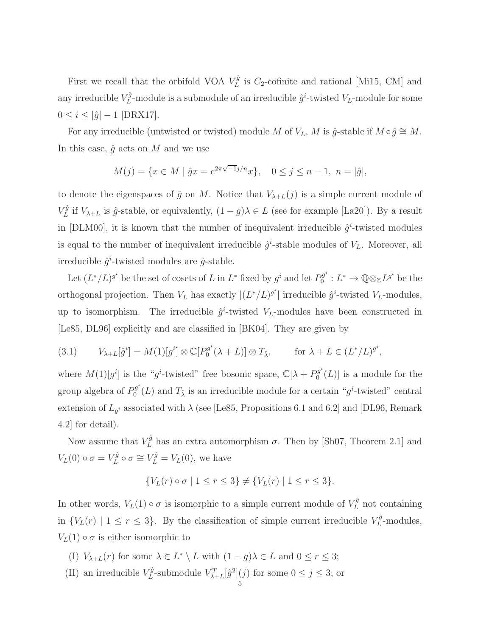First we recall that the orbifold VOA  $V_L^{\hat{g}}$  $L^g$  is  $C_2$ -cofinite and rational [Mi15, CM] and any irreducible  $V_L^{\hat{g}}$  $L^{\tilde{g}}$ -module is a submodule of an irreducible  $\hat{g}^i$ -twisted  $V_L$ -module for some  $0 \le i \le |\hat{g}| - 1$  [DRX17].

For any irreducible (untwisted or twisted) module M of  $V_L$ , M is  $\hat{g}$ -stable if  $M \circ \hat{g} \cong M$ . In this case,  $\hat{g}$  acts on M and we use

$$
M(j) = \{ x \in M \mid \hat{g}x = e^{2\pi\sqrt{-1}j/n}x \}, \quad 0 \le j \le n-1, \ n = |\hat{g}|,
$$

to denote the eigenspaces of  $\hat{g}$  on M. Notice that  $V_{\lambda+L}(j)$  is a simple current module of  $V_L^{\hat{g}}$  $L<sup>g</sup>$  if  $V_{\lambda+L}$  is  $\hat{g}$ -stable, or equivalently,  $(1-g)\lambda \in L$  (see for example [La20]). By a result in [DLM00], it is known that the number of inequivalent irreducible  $\hat{g}^i$ -twisted modules is equal to the number of inequivalent irreducible  $\hat{g}^i$ -stable modules of  $V_L$ . Moreover, all irreducible  $\hat{g}^i$ -twisted modules are  $\hat{g}$ -stable.

Let  $(L^*/L)^{g^i}$  be the set of cosets of L in  $L^*$  fixed by  $g^i$  and let  $P_0^{g^i}$  $Q_0^{g^i}: L^* \to \mathbb{Q} \otimes_{\mathbb{Z}} L^{g^i}$  be the orthogonal projection. Then  $V_L$  has exactly  $|(L^*/L)^{g^i}|$  irreducible  $\hat{g}^i$ -twisted  $V_L$ -modules, up to isomorphism. The irreducible  $\hat{g}^i$ -twisted  $V_L$ -modules have been constructed in [Le85, DL96] explicitly and are classified in [BK04]. They are given by

(3.1) 
$$
V_{\lambda+L}[\hat{g}^i] = M(1)[g^i] \otimes \mathbb{C}[P_0^{g^i}(\lambda + L)] \otimes T_{\tilde{\lambda}}, \quad \text{for } \lambda + L \in (L^*/L)^{g^i},
$$

where  $M(1)[g^i]$  is the "g<sup>i</sup>-twisted" free bosonic space,  $\mathbb{C}[\lambda] + P_0^{g^i}$  $\int_0^{9^r}$  (*L*)] is a module for the group algebra of  $P_0^{g^i}$  $0^{g^i}(L)$  and  $T_{\tilde{\lambda}}$  is an irreducible module for a certain " $g^i$ -twisted" central extension of  $L_{g^i}$  associated with  $\lambda$  (see [Le85, Propositions 6.1 and 6.2] and [DL96, Remark 4.2] for detail).

Now assume that  $V_L^{\hat{g}}$  has an extra automorphism  $\sigma$ . Then by [Sh07, Theorem 2.1] and  $V_L(0) \circ \sigma = V_L^{\hat{g}}$  $L^{\hat{g}} \circ \sigma \cong V_L^{\hat{g}} = V_L(0)$ , we have

$$
\{V_L(r) \circ \sigma \mid 1 \le r \le 3\} \neq \{V_L(r) \mid 1 \le r \le 3\}.
$$

In other words,  $V_L(1) \circ \sigma$  is isomorphic to a simple current module of  $V_L^{\hat{g}}$  not containing in  $\{V_L(r) \mid 1 \leq r \leq 3\}$ . By the classification of simple current irreducible  $V_L^{\hat{g}}$  $L^g$ -modules,  $V_L(1) \circ \sigma$  is either isomorphic to

- (I)  $V_{\lambda+L}(r)$  for some  $\lambda \in L^* \setminus L$  with  $(1-g)\lambda \in L$  and  $0 \le r \le 3$ ;
- (II) an irreducible  $V_L^{\hat{g}}$  $L^{\frac{r}{g}}$ -submodule  $V^T_{\lambda+L}[\hat{g}^2](j)$  for some  $0 \leq j \leq 3$ ; or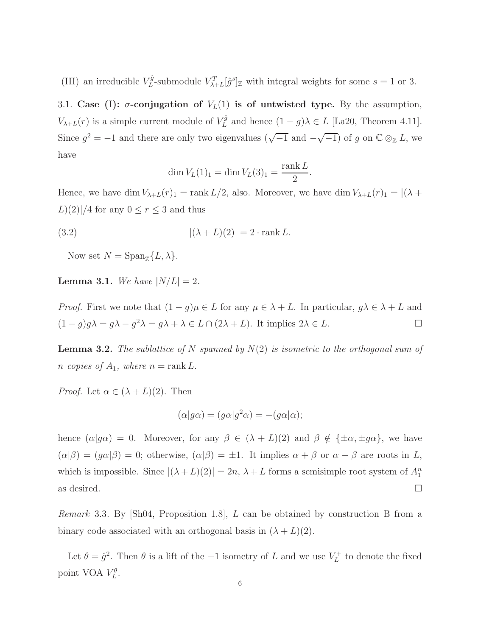(III) an irreducible  $V_L^{\hat{g}}$  $L^{\tilde{g}}$ -submodule  $V_{\lambda+L}^T[\hat{g}^s]_{\mathbb{Z}}$  with integral weights for some  $s=1$  or 3.

3.1. Case (I):  $\sigma$ -conjugation of  $V_L(1)$  is of untwisted type. By the assumption,  $V_{\lambda+L}(r)$  is a simple current module of  $V_L^{\hat{g}}$  $L<sup>gg</sup>$  and hence  $(1-g)\lambda \in L$  [La20, Theorem 4.11]. Since  $g^2 = -1$  and there are only two eigenvalues  $(\sqrt{-1}$  and  $-\sqrt{-1})$  of g on  $\mathbb{C} \otimes_{\mathbb{Z}} L$ , we have

$$
\dim V_L(1)_1 = \dim V_L(3)_1 = \frac{\text{rank } L}{2}.
$$

Hence, we have dim  $V_{\lambda+L}(r)_1 = \text{rank } L/2$ , also. Moreover, we have dim  $V_{\lambda+L}(r)_1 = |(\lambda +$  $L$ (2)|/4 for any  $0 \le r \le 3$  and thus

(3.2) 
$$
|(\lambda + L)(2)| = 2 \cdot \operatorname{rank} L.
$$

Now set  $N = \text{Span}_{\mathbb{Z}}\{L, \lambda\}.$ 

**Lemma 3.1.** *We have*  $|N/L| = 2$ *.* 

*Proof.* First we note that  $(1 - g)\mu \in L$  for any  $\mu \in \lambda + L$ . In particular,  $g\lambda \in \lambda + L$  and  $(1-g)g\lambda = g\lambda - g^2\lambda = g\lambda + \lambda \in L \cap (2\lambda + L)$ . It implies  $2\lambda \in L$ .

Lemma 3.2. *The sublattice of* N *spanned by* N(2) *is isometric to the orthogonal sum of n* copies of  $A_1$ , where  $n = \text{rank } L$ .

*Proof.* Let  $\alpha \in (\lambda + L)(2)$ . Then

$$
(\alpha|g\alpha) = (g\alpha|g^2\alpha) = -(g\alpha|\alpha);
$$

hence  $(\alpha|g\alpha) = 0$ . Moreover, for any  $\beta \in (\lambda + L)(2)$  and  $\beta \notin {\pm \alpha, \pm g\alpha}$ , we have  $(\alpha|\beta) = (g\alpha|\beta) = 0$ ; otherwise,  $(\alpha|\beta) = \pm 1$ . It implies  $\alpha + \beta$  or  $\alpha - \beta$  are roots in L, which is impossible. Since  $|(\lambda + L)(2)| = 2n$ ,  $\lambda + L$  forms a semisimple root system of  $A_1^n$ as desired.  $\Box$ 

*Remark* 3.3*.* By [Sh04, Proposition 1.8], L can be obtained by construction B from a binary code associated with an orthogonal basis in  $(\lambda + L)(2)$ .

Let  $\theta = \hat{g}^2$ . Then  $\theta$  is a lift of the  $-1$  isometry of L and we use  $V_L^+$  $L<sup>+</sup>$  to denote the fixed point VOA  $V_L^{\theta}$ .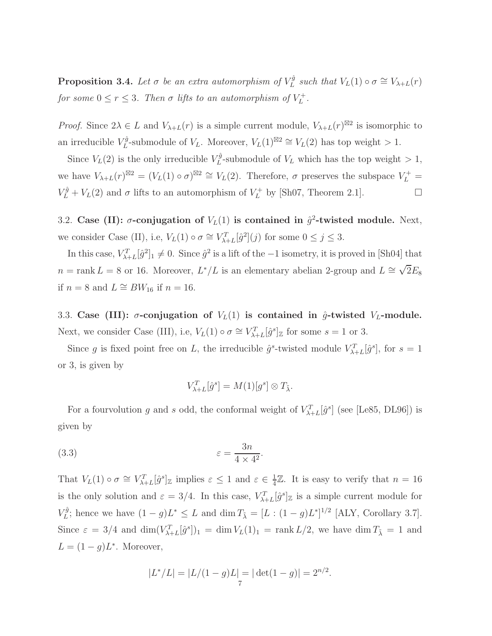**Proposition 3.4.** Let  $\sigma$  be an extra automorphism of  $V_L^{\hat{g}}$  $L^g$  such that  $V_L(1) \circ \sigma \cong V_{\lambda+L}(r)$ *for some*  $0 \le r \le 3$ *. Then*  $\sigma$  *lifts to an automorphism of*  $V_L^+$ L *.*

*Proof.* Since  $2\lambda \in L$  and  $V_{\lambda+L}(r)$  is a simple current module,  $V_{\lambda+L}(r)^{\boxtimes 2}$  is isomorphic to an irreducible  $V_L^{\hat{g}}$  $L^{\hat{g}}$ -submodule of  $V_L$ . Moreover,  $V_L(1)^{\boxtimes 2} \cong V_L(2)$  has top weight > 1.

Since  $V_L(2)$  is the only irreducible  $V_L^{\hat{g}}$  $L^2$ -submodule of  $V_L$  which has the top weight  $> 1$ , we have  $V_{\lambda+L}(r)^{\boxtimes 2} = (V_L(1) \circ \sigma)^{\boxtimes 2} \cong V_L(2)$ . Therefore,  $\sigma$  preserves the subspace  $V_L^+$  $V_L^{\hat{g}} + V_L(2)$  and  $\sigma$  lifts to an automorphism of  $V_L^+$  by [Sh07, Theorem 2.1].

3.2. Case (II):  $\sigma$ -conjugation of  $V_L(1)$  is contained in  $\hat{g}^2$ -twisted module. Next, we consider Case (II), i.e,  $V_L(1) \circ \sigma \cong V_{\lambda+L}^T[\hat{g}^2](j)$  for some  $0 \le j \le 3$ .

In this case,  $V_{\lambda+L}^T[\hat{g}^2]_1 \neq 0$ . Since  $\hat{g}^2$  is a lift of the  $-1$  isometry, it is proved in [Sh04] that  $n = \text{rank } L = 8$  or 16. Moreover,  $L^*/L$  is an elementary abelian 2-group and  $L \cong \sqrt{2}E_8$ if  $n = 8$  and  $L \cong BW_{16}$  if  $n = 16$ .

3.3. Case (III):  $\sigma$ -conjugation of  $V_L(1)$  is contained in  $\hat{g}$ -twisted  $V_L$ -module. Next, we consider Case (III), i.e,  $V_L(1) \circ \sigma \cong V_{\lambda+L}^T[\hat{g}^s]_{\mathbb{Z}}$  for some  $s = 1$  or 3.

Since g is fixed point free on L, the irreducible  $\hat{g}^s$ -twisted module  $V_{\lambda+L}^T[\hat{g}^s]$ , for  $s=1$ or 3, is given by

$$
V_{\lambda+L}^T[\hat{g}^s] = M(1)[g^s] \otimes T_{\tilde{\lambda}}.
$$

For a fourvolution g and s odd, the conformal weight of  $V_{\lambda+L}^T[\hat{g}^s]$  (see [Le85, DL96]) is given by

.

(3.3) 
$$
\varepsilon = \frac{3n}{4 \times 4^2}
$$

That  $V_L(1) \circ \sigma \cong V_{\lambda+L}^T[\hat{g}^s]_{\mathbb{Z}}$  implies  $\varepsilon \leq 1$  and  $\varepsilon \in \frac{1}{4}$  $\frac{1}{4}\mathbb{Z}$ . It is easy to verify that  $n = 16$ is the only solution and  $\varepsilon = 3/4$ . In this case,  $V_{\lambda+L}^T[\hat{g}^s]_{\mathbb{Z}}$  is a simple current module for  $V^{\hat{g}}_L$  $L^{\tilde{g}}$ ; hence we have  $(1-g)L^* \leq L$  and  $\dim T_{\tilde{\lambda}} = [L : (1-g)L^*]^{1/2}$  [ALY, Corollary 3.7]. Since  $\varepsilon = 3/4$  and  $\dim(V_{\lambda+L}^T[\hat{g}^s])_1 = \dim V_L(1)_1 = \text{rank } L/2$ , we have  $\dim T_{\tilde{\lambda}} = 1$  and  $L = (1 - g)L^*$ . Moreover,

$$
|L^*/L| = |L/(1-g)L| = |\det(1-g)| = 2^{n/2}.
$$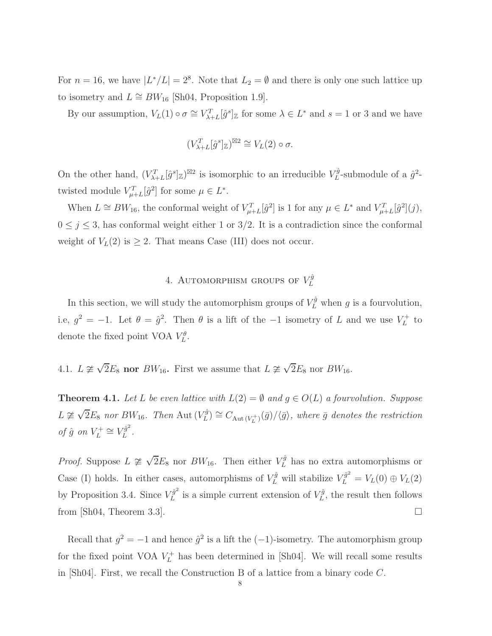For  $n = 16$ , we have  $|L^*/L| = 2^8$ . Note that  $L_2 = \emptyset$  and there is only one such lattice up to isometry and  $L \cong BW_{16}$  [Sh04, Proposition 1.9].

By our assumption,  $V_L(1) \circ \sigma \cong V_{\lambda+L}^T[\hat{g}^s]_{\mathbb{Z}}$  for some  $\lambda \in L^*$  and  $s = 1$  or 3 and we have

$$
(V_{\lambda+L}^T[\hat{g}^s]_{\mathbb{Z}})^{\boxtimes 2} \cong V_L(2) \circ \sigma.
$$

On the other hand,  $(V_{\lambda+L}^T[\hat{g}^s]_{\mathbb{Z}})^{\boxtimes 2}$  is isomorphic to an irreducible  $V_L^{\hat{g}}$  $L^{\hat{g}}$ -submodule of a  $\hat{g}^2$ twisted module  $V_{\mu+L}^T[\hat{g}^2]$  for some  $\mu \in L^*$ .

When  $L \cong BW_{16}$ , the conformal weight of  $V_{\mu+L}^T[\hat{g}^2]$  is 1 for any  $\mu \in L^*$  and  $V_{\mu+L}^T[\hat{g}^2](j)$ ,  $0 \leq j \leq 3$ , has conformal weight either 1 or 3/2. It is a contradiction since the conformal weight of  $V_L(2)$  is  $\geq 2$ . That means Case (III) does not occur.

#### 4. AUTOMORPHISM GROUPS OF  $V_L^{\hat{g}}$ L

In this section, we will study the automorphism groups of  $V_L^{\hat{g}}$  when g is a fourvolution, i.e,  $g^2 = -1$ . Let  $\theta = \hat{g}^2$ . Then  $\theta$  is a lift of the -1 isometry of L and we use  $V_L^+$  $L^+$  to denote the fixed point VOA  $V_L^{\theta}$ .

4.1.  $L \not\cong \sqrt{2}E_8$  nor  $BW_{16}$ . First we assume that  $L \not\cong \sqrt{2}E_8$  nor  $BW_{16}$ .

**Theorem 4.1.** Let L be even lattice with  $L(2) = \emptyset$  and  $g \in O(L)$  a fourvolution. Suppose  $L \not\cong \sqrt{2}E_8$  *nor*  $BW_{16}$ *. Then* Aut  $(V_L^{\hat{g}})$  $\mathcal{L}^{(g)}_L \cong C_{\text{Aut}\,(V_L^+)}(\bar{g})/\langle\bar{g}\rangle$ , where  $\bar{g}$  denotes the restriction *of*  $\hat{g}$  *on*  $V_L^+$  $V_L^+ \cong V_L^{\hat{g}^2}$  $L^{\sigma}$ .

*Proof.* Suppose  $L \ncong \sqrt{2}E_8$  nor  $BW_{16}$ . Then either  $V_L^{\hat{g}}$  has no extra automorphisms or Case (I) holds. In either cases, automorphisms of  $V_L^{\hat{g}}$  will stabilize  $V_L^{\hat{g}^2} = V_L(0) \oplus V_L(2)$ by Proposition 3.4. Since  $V_L^{\hat{g}^2}$  $\chi_L^{\hat{g}^2}$  is a simple current extension of  $V_L^{\hat{g}}$  $L^g$ , the result then follows from [Sh04, Theorem 3.3].

Recall that  $g^2 = -1$  and hence  $\hat{g}^2$  is a lift the  $(-1)$ -isometry. The automorphism group for the fixed point VOA  $V_L^+$  has been determined in [Sh04]. We will recall some results in [Sh04]. First, we recall the Construction B of a lattice from a binary code C.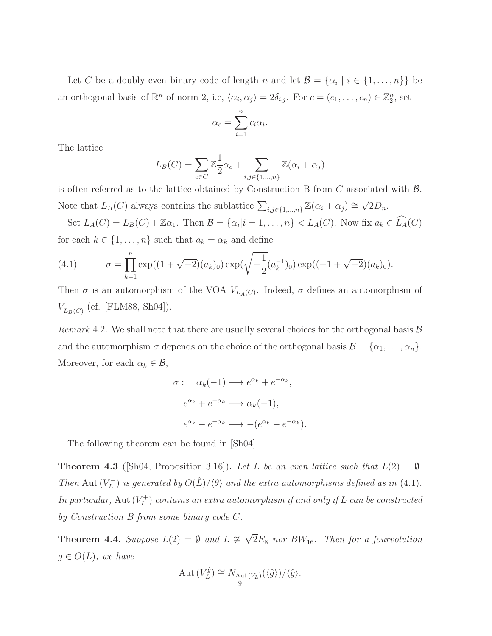Let C be a doubly even binary code of length n and let  $\mathcal{B} = \{\alpha_i \mid i \in \{1, ..., n\}\}\$ be an orthogonal basis of  $\mathbb{R}^n$  of norm 2, i.e,  $\langle \alpha_i, \alpha_j \rangle = 2\delta_{i,j}$ . For  $c = (c_1, \ldots, c_n) \in \mathbb{Z}_2^n$ , set

$$
\alpha_c = \sum_{i=1}^n c_i \alpha_i.
$$

The lattice

$$
L_B(C) = \sum_{c \in C} \mathbb{Z}_2^1 \alpha_c + \sum_{i,j \in \{1,\dots,n\}} \mathbb{Z}(\alpha_i + \alpha_j)
$$

is often referred as to the lattice obtained by Construction B from  $C$  associated with  $\beta$ . Note that  $L_B(C)$  always contains the sublattice  $\sum_{i,j\in\{1,\dots,n\}} \mathbb{Z}(\alpha_i+\alpha_j) \cong \sqrt{2}D_n$ .

Set  $L_A(C) = L_B(C) + \mathbb{Z}\alpha_1$ . Then  $\mathcal{B} = {\alpha_i | i = 1, ..., n} < L_A(C)$ . Now fix  $a_k \in L_A(C)$ for each  $k \in \{1, ..., n\}$  such that  $\bar{a}_k = \alpha_k$  and define

(4.1) 
$$
\sigma = \prod_{k=1}^{n} \exp((1+\sqrt{-2})(a_k)_0) \exp(\sqrt{-\frac{1}{2}}(a_k^{-1})_0) \exp((-1+\sqrt{-2})(a_k)_0).
$$

Then  $\sigma$  is an automorphism of the VOA  $V_{L_A(C)}$ . Indeed,  $\sigma$  defines an automorphism of  $V_{L}^{+}$  $L_{B}(C)$  (cf. [FLM88, Sh04]).

*Remark* 4.2. We shall note that there are usually several choices for the orthogonal basis  $\mathcal{B}$ and the automorphism  $\sigma$  depends on the choice of the orthogonal basis  $\mathcal{B} = {\alpha_1, \ldots, \alpha_n}$ . Moreover, for each  $\alpha_k \in \mathcal{B}$ ,

$$
\sigma: \quad \alpha_k(-1) \longmapsto e^{\alpha_k} + e^{-\alpha_k},
$$

$$
e^{\alpha_k} + e^{-\alpha_k} \longmapsto \alpha_k(-1),
$$

$$
e^{\alpha_k} - e^{-\alpha_k} \longmapsto -(e^{\alpha_k} - e^{-\alpha_k}).
$$

The following theorem can be found in [Sh04].

**Theorem 4.3** ([Sh04, Proposition 3.16]). Let L be an even lattice such that  $L(2) = \emptyset$ . *Then* Aut  $(V_L^+)$  $L_L^{(+)}$  *is generated by*  $O(\hat{L})/\langle \theta \rangle$  *and the extra automorphisms defined as in* (4.1)*. In particular,* Aut  $(V_L^+)$  $L_L^{(+)}$  *contains an extra automorphism if and only if*  $L$  *can be constructed by Construction B from some binary code* C*.*

**Theorem 4.4.** Suppose  $L(2) = \emptyset$  and  $L \ncong \sqrt{2}E_8$  nor  $BW_{16}$ . Then for a fourvolution  $g \in O(L)$ *, we have* 

$$
Aut(V_L^{\hat{g}}) \cong N_{Aut(V_L)}(\langle \hat{g} \rangle) / \langle \hat{g} \rangle.
$$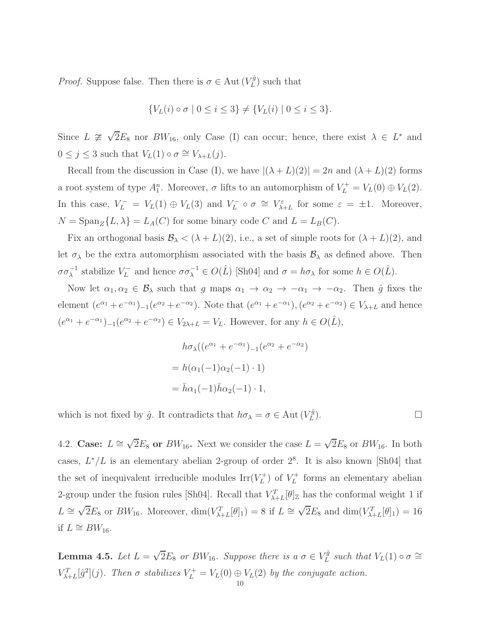*Proof.* Suppose false. Then there is  $\sigma \in \text{Aut}(V_L^{\hat{g}})$  $L^{(g)}$  such that

$$
\{V_L(i) \circ \sigma \mid 0 \le i \le 3\} \ne \{V_L(i) \mid 0 \le i \le 3\}.
$$

Since  $L \ncong \sqrt{2}E_8$  nor  $BW_{16}$ , only Case (I) can occur; hence, there exist  $\lambda \in L^*$  and  $0 \leq j \leq 3$  such that  $V_L(1) \circ \sigma \cong V_{\lambda+L}(j)$ .

Recall from the discussion in Case (I), we have  $|(\lambda + L)(2)| = 2n$  and  $(\lambda + L)(2)$  forms a root system of type  $A_1^n$ . Moreover,  $\sigma$  lifts to an automorphism of  $V_L^+ = V_L(0) \oplus V_L(2)$ . In this case,  $V_L^- = V_L(1) \oplus V_L(3)$  and  $V_L^- \circ \sigma \cong V_{\lambda+L}^{\varepsilon}$  for some  $\varepsilon = \pm 1$ . Moreover,  $N = \text{Span}_{Z} \{L, \lambda\} = L_{A}(C)$  for some binary code C and  $L = L_{B}(C)$ .

Fix an orthogonal basis  $\mathcal{B}_{\lambda} < (\lambda + L)(2)$ , i.e., a set of simple roots for  $(\lambda + L)(2)$ , and let  $\sigma_{\lambda}$  be the extra automorphism associated with the basis  $\mathcal{B}_{\lambda}$  as defined above. Then  $\sigma \sigma_{\lambda}^{-1}$  stabilize  $V_L^-$  and hence  $\sigma \sigma_{\lambda}^{-1} \in O(\hat{L})$  [Sh04] and  $\sigma = h \sigma_{\lambda}$  for some  $h \in O(\hat{L})$ .

Now let  $\alpha_1, \alpha_2 \in \mathcal{B}_\lambda$  such that g maps  $\alpha_1 \to \alpha_2 \to -\alpha_1 \to -\alpha_2$ . Then  $\hat{g}$  fixes the element  $(e^{\alpha_1} + e^{-\alpha_1})_{-1}(e^{\alpha_2} + e^{-\alpha_2})$ . Note that  $(e^{\alpha_1} + e^{-\alpha_1})$ ,  $(e^{\alpha_2} + e^{-\alpha_2}) \in V_{\lambda+L}$  and hence  $(e^{\alpha_1} + e^{-\alpha_1})_{-1}(e^{\alpha_2} + e^{-\alpha_2}) \in V_{2\lambda + L} = V_L$ . However, for any  $h \in O(\hat{L}),$ 

$$
h\sigma_{\lambda}((e^{\alpha_1} + e^{-\alpha_1})_{-1}(e^{\alpha_2} + e^{-\alpha_2})
$$
  
=  $h(\alpha_1(-1)\alpha_2(-1) \cdot 1)$   
=  $\bar{h}\alpha_1(-1)\bar{h}\alpha_2(-1) \cdot 1$ ,

which is not fixed by  $\hat{g}$ . It contradicts that  $h\sigma_{\lambda} = \sigma \in \text{Aut}(V_L^{\hat{g}})$ L  $\Box$ 

4.2. Case:  $L \cong \sqrt{2}E_8$  or  $BW_{16}$ . Next we consider the case  $L = \sqrt{2}E_8$  or  $BW_{16}$ . In both cases,  $L^*/L$  is an elementary abelian 2-group of order  $2^8$ . It is also known [Sh04] that the set of inequivalent irreducible modules  $\text{Irr}(V_L^+)$  $\binom{r}{L}$  of  $V_L^+$  $L_L^+$  forms an elementary abelian 2-group under the fusion rules [Sh04]. Recall that  $V_{\lambda+L}^T[\theta]_{\mathbb{Z}}$  has the conformal weight 1 if  $L \cong \sqrt{2}E_8$  or  $BW_{16}$ . Moreover,  $\dim(V_{\lambda+L}^T[\theta]_1) = 8$  if  $L \cong \sqrt{2}E_8$  and  $\dim(V_{\lambda+L}^T[\theta]_1) = 16$ if  $L \cong BW_{16}$ .

**Lemma 4.5.** *Let*  $L = \sqrt{2}E_8$  *or BW*<sub>16</sub>*. Suppose there is a*  $\sigma \in V_L^{\hat{g}}$  $L^g$  such that  $V_L(1) \circ \sigma \cong$  $V_{\lambda+L}^T[\hat{g}^2](j)$ *. Then*  $\sigma$  *stabilizes*  $V_L^+ = V_L(0) \oplus V_L(2)$  *by the conjugate action.*<br>
10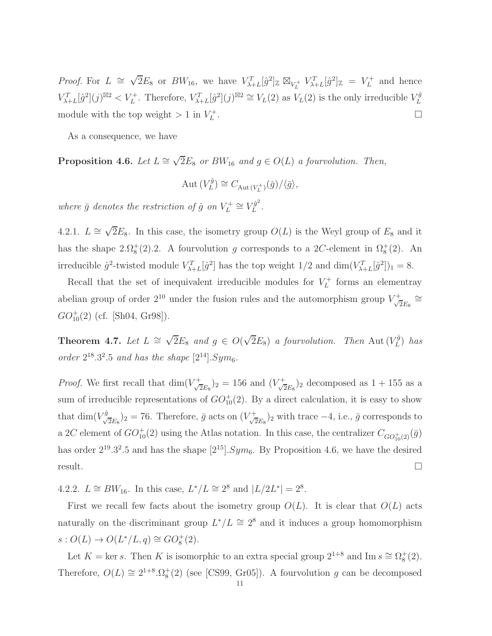*Proof.* For  $L \cong \sqrt{2}E_8$  or  $BW_{16}$ , we have  $V_{\lambda+L}^T[\hat{g}^2]_{\mathbb{Z}} \boxtimes_{V_L^+} V_{\lambda+L}^T[\hat{g}^2]_{\mathbb{Z}} = V_L^+$  $L^+$  and hence  $V_{\lambda+L}^T[\hat{g}^2](j)^{\boxtimes 2} < V_L^+$ . Therefore,  $V_{\lambda+L}^T[\hat{g}^2](j)^{\boxtimes 2} \cong V_L(2)$  as  $V_L(2)$  is the only irreducible  $V_L^{\hat{g}}$ L module with the top weight  $> 1$  in  $V_L^+$ L .

As a consequence, we have

**Proposition 4.6.** *Let*  $L \cong \sqrt{2}E_8$  *or*  $BW_{16}$  *and*  $g \in O(L)$  *a fourvolution. Then,* 

$$
Aut(V_L^{\hat{g}}) \cong C_{Aut(V_L^+)}(\bar{g})/\langle \bar{g} \rangle,
$$

*where*  $\bar{g}$  *denotes the restriction of*  $\hat{g}$  *on*  $V_L^+$  $V_L^+ \cong V_L^{\hat{g}^2}$  $L^g$ .

4.2.1.  $L \cong \sqrt{2}E_8$ . In this case, the isometry group  $O(L)$  is the Weyl group of  $E_8$  and it has the shape 2. $\Omega_8^+(2)$ . A fourvolution g corresponds to a 2C-element in  $\Omega_8^+(2)$ . An irreducible  $\hat{g}^2$ -twisted module  $V_{\lambda+L}^T[\hat{g}^2]$  has the top weight  $1/2$  and  $\dim(V_{\lambda+L}^T[\hat{g}^2])_1 = 8$ .

Recall that the set of inequivalent irreducible modules for  $V_L^+$  $L^+$  forms an elementray abelian group of order  $2^{10}$  under the fusion rules and the automorphism group  $V_{\mathcal{A}}^{+}$  $\frac{1}{2E_8}\cong$  $GO_{10}^+(2)$  (cf. [Sh04, Gr98]).

Theorem 4.7. *Let*  $L \cong \sqrt{2}E_8$  *and*  $g \in O(\sqrt{2}E_8)$  *a fourvolution. Then* Aut  $(V_L^{\hat{g}})$ L ) *has order*  $2^{18}.3^2.5$  *and has the shape*  $[2^{14}].Sym_6$ *.* 

*Proof.* We first recall that  $\dim(V)$  $(\frac{1}{2E_8})_2 = 156$  and  $(V_{\sqrt{2}}^+)$  $(\frac{1}{2E_8})_2$  decomposed as  $1+155$  as a sum of irreducible representations of  $GO_{10}^+(2)$ . By a direct calculation, it is easy to show that  $\dim(V_{\sqrt{2}E_8}^{\hat{g}})_2 = 76$ . Therefore,  $\bar{g}$  acts on  $(V_{\sqrt{2}E_8}^+)$  $(\overline{z}_{E_8})_2$  with trace  $-4$ , i.e.,  $\overline{g}$  corresponds to a 2C element of  $GO_{10}^+(2)$  using the Atlas notation. In this case, the centralizer  $C_{GO_{10}^+(2)}(\bar{g})$ has order  $2^{19} \cdot 3^2 \cdot 5$  and has the shape  $[2^{15}] \cdot Sym_6$ . By Proposition 4.6, we have the desired  $r$ esult.

4.2.2.  $L \cong BW_{16}$ . In this case,  $L^*/L \cong 2^8$  and  $|L/2L^*| = 2^8$ .

First we recall few facts about the isometry group  $O(L)$ . It is clear that  $O(L)$  acts naturally on the discriminant group  $L^*/L \cong 2^8$  and it induces a group homomorphism  $s: O(L) \to O(L^*/L, q) \cong GO_8^+(2).$ 

Let  $K = \text{ker } s$ . Then K is isomorphic to an extra special group  $2^{1+8}$  and Im  $s \cong \Omega_8^+(2)$ . Therefore,  $O(L) \cong 2^{1+8} \Omega_8^+(2)$  (see [CS99, Gr05]). A fourvolution g can be decomposed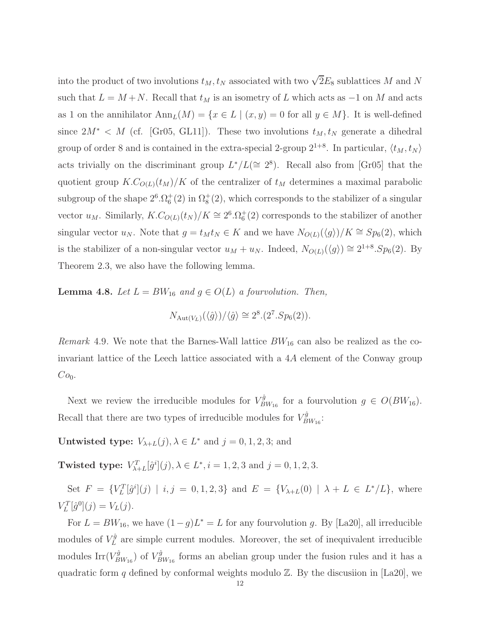into the product of two involutions  $t_M, t_N$  associated with two  $\sqrt{2}E_8$  sublattices M and N such that  $L = M + N$ . Recall that  $t_M$  is an isometry of L which acts as  $-1$  on M and acts as 1 on the annihilator  $\text{Ann}_L(M) = \{x \in L \mid (x, y) = 0 \text{ for all } y \in M\}.$  It is well-defined since  $2M^*$  < M (cf. [Gr05, GL11]). These two involutions  $t_M, t_N$  generate a dihedral group of order 8 and is contained in the extra-special 2-group  $2^{1+8}$ . In particular,  $\langle t_M, t_N \rangle$ acts trivially on the discriminant group  $L^*/L \approx 2^8$ ). Recall also from [Gr05] that the quotient group  $K.C_{O(L)}(t_M)/K$  of the centralizer of  $t_M$  determines a maximal parabolic subgroup of the shape  $2^6 \cdot \Omega_6^+(2)$  in  $\Omega_8^+(2)$ , which corresponds to the stabilizer of a singular vector  $u_M$ . Similarly,  $K.C_{O(L)}(t_N)/K \cong 2^6.\Omega_6^+(2)$  corresponds to the stabilizer of another singular vector  $u_N$ . Note that  $g = t_M t_N \in K$  and we have  $N_{O(L)}(\langle g \rangle)/K \cong Sp_6(2)$ , which is the stabilizer of a non-singular vector  $u_M + u_N$ . Indeed,  $N_{O(L)}(\langle g \rangle) \cong 2^{1+8} S p_6(2)$ . By Theorem 2.3, we also have the following lemma.

**Lemma 4.8.** *Let*  $L = BW_{16}$  *and*  $g \in O(L)$  *a fourvolution. Then,* 

$$
N_{\text{Aut}(V_L)}(\langle \hat{g} \rangle) / \langle \hat{g} \rangle \cong 2^8.(2^7.Sp_6(2)).
$$

*Remark* 4.9. We note that the Barnes-Wall lattice  $BW_{16}$  can also be realized as the coinvariant lattice of the Leech lattice associated with a 4A element of the Conway group  $Co<sub>0</sub>$ .

Next we review the irreducible modules for  $V_B^{\hat{g}}$  ${}^{fg}_{BW_{16}}$  for a fourvolution  $g \in O(BW_{16})$ . Recall that there are two types of irreducible modules for  $V_B^{\hat{g}}$  $_{BW_{16}}^{rg}$ :

**Untwisted type:**  $V_{\lambda+L}(j)$ ,  $\lambda \in L^*$  and  $j = 0, 1, 2, 3$ ; and

Twisted type:  $V_{\lambda+L}^T[\hat{g}^i](j)$ ,  $\lambda \in L^*, i = 1, 2, 3$  and  $j = 0, 1, 2, 3$ .

Set  $F = \{V_L^T[\hat{g}^i](j) | i, j = 0, 1, 2, 3\}$  and  $E = \{V_{\lambda+L}(0) | \lambda + L \in L^*/L\}$ , where  $V_L^T[\hat{g}^0](j) = V_L(j).$ 

For  $L = BW_{16}$ , we have  $(1 - g)L^* = L$  for any fourvolution g. By [La20], all irreducible modules of  $V_L^{\hat{g}}$  $L<sup>q</sup>$  are simple current modules. Moreover, the set of inequivalent irreducible modules  $\operatorname{Irr}(V_B^{\hat{g}})$  $\binom{\hat{g}}{BW_{16}}$  of  $V_B^{\hat{g}}$  ${}^{fg}_{BW_{16}}$  forms an abelian group under the fusion rules and it has a quadratic form q defined by conformal weights modulo  $\mathbb{Z}$ . By the discussion in [La20], we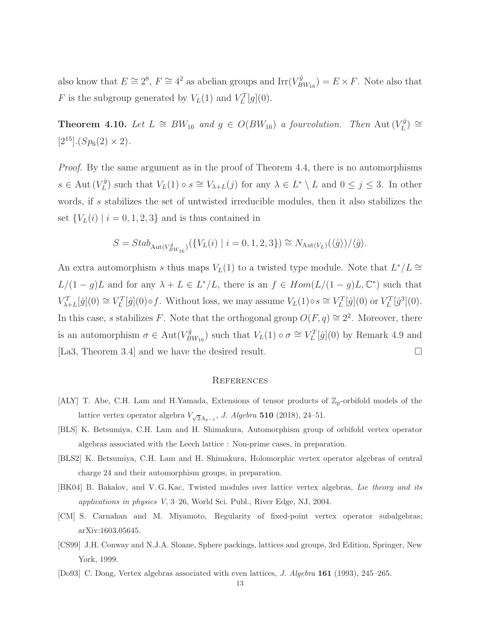also know that  $E \cong 2^8$ ,  $F \cong 4^2$  as abelian groups and  $\text{Irr}(V_B^{\hat{g}})$  $\mathcal{L}_{BW_{16}}^{gg}$  =  $E \times F$ . Note also that F is the subgroup generated by  $V_L(1)$  and  $V_L^T[g](0)$ .

Theorem 4.10. *Let*  $L \cong BW_{16}$  *and*  $g \in O(BW_{16})$  *a fourvolution. Then* Aut  $(V_L^{\hat{g}})$  $\binom{rg}{L} \cong$  $[2^{15}]$ .(Sp<sub>6</sub>(2) × 2).

*Proof.* By the same argument as in the proof of Theorem 4.4, there is no automorphisms  $s \in \mathrm{Aut}(V_L^{\hat{g}})$  $L^{(g)}$  such that  $V_L(1) \circ s \cong V_{\lambda+L}(j)$  for any  $\lambda \in L^* \setminus L$  and  $0 \leq j \leq 3$ . In other words, if s stabilizes the set of untwisted irreducible modules, then it also stabilizes the set  ${V_L(i) \mid i = 0, 1, 2, 3}$  and is thus contained in

$$
S = Stab_{\text{Aut}(V_{BW_{16}}^{\hat{g}})}(\{V_L(i) \mid i = 0, 1, 2, 3\}) \cong N_{\text{Aut}(V_L)}(\langle \hat{g} \rangle) / \langle \hat{g} \rangle.
$$

An extra automorphism s thus maps  $V_L(1)$  to a twisted type module. Note that  $L^*/L \cong$  $L/(1-g)L$  and for any  $\lambda + L \in L^*/L$ , there is an  $f \in Hom(L/(1-g)L, \mathbb{C}^*)$  such that  $V_{\lambda+L}^T[\hat{g}](0) \cong V_L^T[\hat{g}](0) \circ f$ . Without loss, we may assume  $V_L(1) \circ s \cong V_L^T[\hat{g}](0)$  or  $V_L^T[\hat{g}^3](0)$ . In this case, s stabilizes F. Note that the orthogonal group  $O(F, q) \cong 2^2$ . Moreover, there is an automorphism  $\sigma \in \text{Aut}(V_B^{\hat{g}})$  $\mathcal{L}_{BW_{16}}^{g}$  such that  $V_L(1) \circ \sigma \cong V_L^T[\hat{g}](0)$  by Remark 4.9 and [La3, Theorem 3.4] and we have the desired result.

## **REFERENCES**

- [ALY] T. Abe, C.H. Lam and H.Yamada, Extensions of tensor products of  $\mathbb{Z}_p$ -orbifold models of the lattice vertex operator algebra  $V_{\sqrt{2}A_{p-1}}$ , J. Algebra 510 (2018), 24–51.
- [BLS] K. Betsumiya, C.H. Lam and H. Shimakura, Automorphism group of orbifold vertex operator algebras associated with the Leech lattice : Non-prime cases, in preparation.
- [BLS2] K. Betsumiya, C.H. Lam and H. Shimakura, Holomorphic vertex operator algebras of central charge 24 and their automorphism groups, in preparation.
- [BK04] B. Bakalov, and V. G. Kac, Twisted modules over lattice vertex algebras, Lie theory and its applications in physics V, 3–26, World Sci. Publ., River Edge, NJ, 2004.
- [CM] S. Carnahan and M. Miyamoto, Regularity of fixed-point vertex operator subalgebras; arXiv:1603.05645.
- [CS99] J.H. Conway and N.J.A. Sloane, Sphere packings, lattices and groups, 3rd Edition, Springer, New York, 1999.
- [Do93] C. Dong, Vertex algebras associated with even lattices, J. Algebra 161 (1993), 245–265.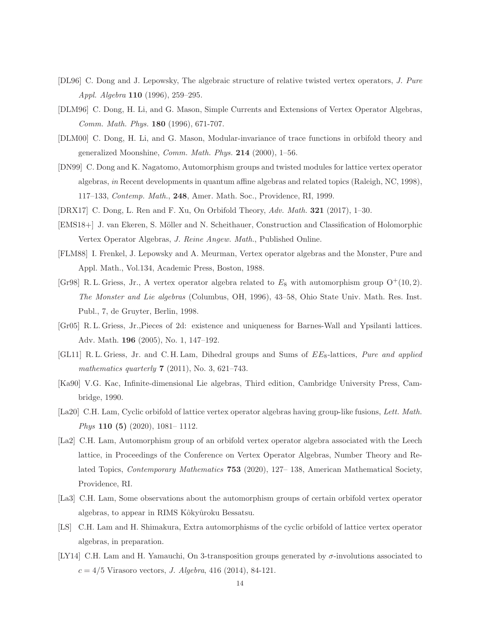- [DL96] C. Dong and J. Lepowsky, The algebraic structure of relative twisted vertex operators, J. Pure Appl. Algebra 110 (1996), 259–295.
- [DLM96] C. Dong, H. Li, and G. Mason, Simple Currents and Extensions of Vertex Operator Algebras, Comm. Math. Phys. 180 (1996), 671-707.
- [DLM00] C. Dong, H. Li, and G. Mason, Modular-invariance of trace functions in orbifold theory and generalized Moonshine, Comm. Math. Phys. 214 (2000), 1–56.
- [DN99] C. Dong and K. Nagatomo, Automorphism groups and twisted modules for lattice vertex operator algebras, in Recent developments in quantum affine algebras and related topics (Raleigh, NC, 1998), 117–133, Contemp. Math., 248, Amer. Math. Soc., Providence, RI, 1999.
- [DRX17] C. Dong, L. Ren and F. Xu, On Orbifold Theory, Adv. Math. 321 (2017), 1–30.
- [EMS18+] J. van Ekeren, S. Möller and N. Scheithauer, Construction and Classification of Holomorphic Vertex Operator Algebras, J. Reine Angew. Math., Published Online.
- [FLM88] I. Frenkel, J. Lepowsky and A. Meurman, Vertex operator algebras and the Monster, Pure and Appl. Math., Vol.134, Academic Press, Boston, 1988.
- [Gr98] R. L. Griess, Jr., A vertex operator algebra related to  $E_8$  with automorphism group  $O^+(10, 2)$ . The Monster and Lie algebras (Columbus, OH, 1996), 43–58, Ohio State Univ. Math. Res. Inst. Publ., 7, de Gruyter, Berlin, 1998.
- [Gr05] R. L. Griess, Jr.,Pieces of 2d: existence and uniqueness for Barnes-Wall and Ypsilanti lattices. Adv. Math. 196 (2005), No. 1, 147–192.
- [GL11] R. L. Griess, Jr. and C. H. Lam, Dihedral groups and Sums of  $EE_8$ -lattices, Pure and applied mathematics quarterly **7** (2011), No. 3, 621–743.
- [Ka90] V.G. Kac, Infinite-dimensional Lie algebras, Third edition, Cambridge University Press, Cambridge, 1990.
- [La20] C.H. Lam, Cyclic orbifold of lattice vertex operator algebras having group-like fusions, Lett. Math. Phys 110 (5) (2020), 1081– 1112.
- [La2] C.H. Lam, Automorphism group of an orbifold vertex operator algebra associated with the Leech lattice, in Proceedings of the Conference on Vertex Operator Algebras, Number Theory and Related Topics, Contemporary Mathematics 753 (2020), 127– 138, American Mathematical Society, Providence, RI.
- [La3] C.H. Lam, Some observations about the automorphism groups of certain orbifold vertex operator algebras, to appear in RIMS Kôkyûroku Bessatsu.
- [LS] C.H. Lam and H. Shimakura, Extra automorphisms of the cyclic orbifold of lattice vertex operator algebras, in preparation.
- [LY14] C.H. Lam and H. Yamauchi, On 3-transposition groups generated by σ-involutions associated to  $c = 4/5$  Virasoro vectors, *J. Algebra*, 416 (2014), 84-121.